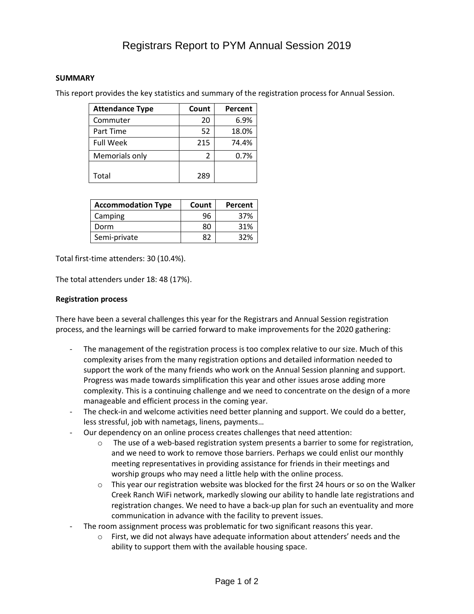## Registrars Report to PYM Annual Session 2019

## **SUMMARY**

This report provides the key statistics and summary of the registration process for Annual Session.

| <b>Attendance Type</b> | Count | Percent |
|------------------------|-------|---------|
| Commuter               | 20    | 6.9%    |
| Part Time              | 52    | 18.0%   |
| <b>Full Week</b>       | 215   | 74.4%   |
| Memorials only         | 2     | $0.7\%$ |
| Total                  | 289   |         |

| <b>Accommodation Type</b> | Count | Percent |
|---------------------------|-------|---------|
| Camping                   | 96    | 37%     |
| Dorm                      | 80    | 31%     |
| Semi-private              | 87    | 32%     |

Total first-time attenders: 30 (10.4%).

The total attenders under 18: 48 (17%).

## **Registration process**

There have been a several challenges this year for the Registrars and Annual Session registration process, and the learnings will be carried forward to make improvements for the 2020 gathering:

- The management of the registration process is too complex relative to our size. Much of this complexity arises from the many registration options and detailed information needed to support the work of the many friends who work on the Annual Session planning and support. Progress was made towards simplification this year and other issues arose adding more complexity. This is a continuing challenge and we need to concentrate on the design of a more manageable and efficient process in the coming year.
- The check-in and welcome activities need better planning and support. We could do a better, less stressful, job with nametags, linens, payments…
- Our dependency on an online process creates challenges that need attention:
	- $\circ$  The use of a web-based registration system presents a barrier to some for registration, and we need to work to remove those barriers. Perhaps we could enlist our monthly meeting representatives in providing assistance for friends in their meetings and worship groups who may need a little help with the online process.
	- This year our registration website was blocked for the first 24 hours or so on the Walker Creek Ranch WiFi network, markedly slowing our ability to handle late registrations and registration changes. We need to have a back-up plan for such an eventuality and more communication in advance with the facility to prevent issues.
- The room assignment process was problematic for two significant reasons this year.
	- $\circ$  First, we did not always have adequate information about attenders' needs and the ability to support them with the available housing space.